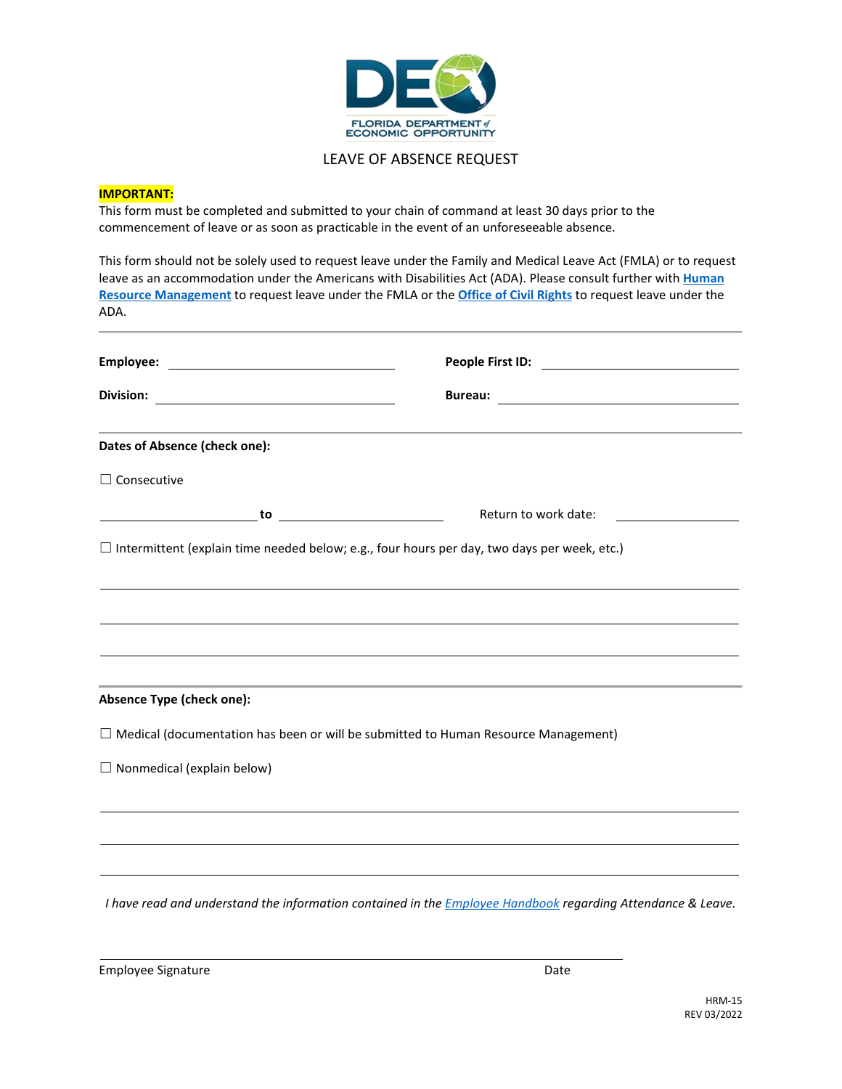

## LEAVE OF ABSENCE REQUEST

## **IMPORTANT:**

This form must be completed and submitted to your chain of command at least 30 days prior to the commencement of leave or as soon as practicable in the event of an unforeseeable absence.

This form should not be solely used to request leave under the Family and Medical Leave Act (FMLA) or to request leave as an accommodation under the Americans with Disabilities Act (ADA). Please consult further with **[Human](https://sharepoint.deo.myflorida.com/Pages/HRStaff.aspx)  [Resource Management](https://sharepoint.deo.myflorida.com/Pages/HRStaff.aspx)** to request leave under the FMLA or the **[Office of Civil Rights](http://www.floridajobs.org/office-directory/office-for-civil-rights/about-our-office)** to request leave under the ADA.

| <u> 1989 - Johann Stoff, deutscher Stoff, der Stoff, der Stoff, der Stoff, der Stoff, der Stoff, der Stoff, der S</u>                                                                                  |                      |
|--------------------------------------------------------------------------------------------------------------------------------------------------------------------------------------------------------|----------------------|
| Dates of Absence (check one):                                                                                                                                                                          |                      |
| $\Box$ Consecutive                                                                                                                                                                                     |                      |
|                                                                                                                                                                                                        | Return to work date: |
| $\Box$ Intermittent (explain time needed below; e.g., four hours per day, two days per week, etc.)                                                                                                     |                      |
|                                                                                                                                                                                                        |                      |
| ,我们也不会有什么。""我们的人,我们也不会有什么?""我们的人,我们也不会有什么?""我们的人,我们也不会有什么?""我们的人,我们也不会有什么?""我们的人                                                                                                                       |                      |
|                                                                                                                                                                                                        |                      |
|                                                                                                                                                                                                        |                      |
| Absence Type (check one):                                                                                                                                                                              |                      |
| $\Box$ Medical (documentation has been or will be submitted to Human Resource Management)                                                                                                              |                      |
| $\Box$ Nonmedical (explain below)                                                                                                                                                                      |                      |
|                                                                                                                                                                                                        |                      |
|                                                                                                                                                                                                        |                      |
| ,我们也不会有什么。""我们的人,我们也不会有什么?""我们的人,我们也不会有什么?""我们的人,我们也不会有什么?""我们的人,我们也不会有什么?""我们的人                                                                                                                       |                      |
| ,我们也不会有什么。""我们的人,我们也不会有什么?""我们的人,我们也不会有什么?""我们的人,我们也不会有什么?""我们的人,我们也不会有什么?""我们的人<br>in the contract of the contract of the contract of the contract of the contract of the contract of the contract of |                      |

*I have read and understand the information contained in the [Employee Handbook](https://sharepoint.deo.myflorida.com/HRM/handbook/DEO_Employee_Handbook.pdf) regarding Attendance & Leave.*

Employee Signature Date